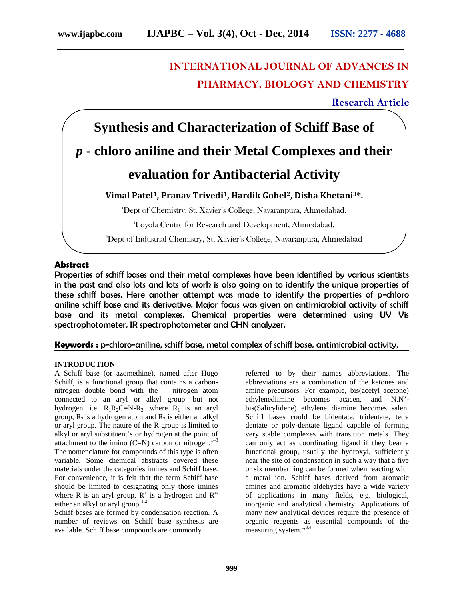# **INTERNATIONAL JOURNAL OF ADVANCES IN PHARMACY, BIOLOGY AND CHEMISTRY**

**Research Article**



# **Abstract**

Properties of schiff bases and their metal complexes have been identified by various scientists in the past and also lots and lots of work is also going on to identify the unique properties of these schiff bases. Here another attempt was made to identify the properties of p-chloro aniline schiff base and its derivative. Major focus was given on antimicrobial activity of schiff base and its metal complexes. Chemical properties were determined using UV Vis spectrophotometer, IR spectrophotometer and CHN analyzer.

# **Keywords :** p-chloro-aniline, schiff base, metal complex of schiff base, antimicrobial activity,

# **INTRODUCTION**

A Schiff base (or azomethine), named after Hugo Schiff, is a functional group that contains a carbon nitrogen double bond with the nitrogen atom connected to an aryl or alkyl group—but not hydrogen. i.e.  $R_1R_2C=N-R_3$ , where  $R_1$  is an aryl group,  $R_2$  is a hydrogen atom and  $R_3$  is either an alkyl or aryl group. The nature of the R group is limited to alkyl or aryl substituent's or hydrogen at the point of attachment to the imino  $(C=N)$  carbon or nitrogen.<sup>1–3</sup> The nomenclature for compounds of this type is often variable. Some chemical abstracts covered these materials under the categories imines and Schiff base. For convenience, it is felt that the term Schiff base should be limited to designating only those imines where  $R$  is an aryl group,  $R'$  is a hydrogen and  $R''$ either an alkyl or aryl group.<sup>1,2</sup>

Schiff bases are formed by condensation reaction. A number of reviews on Schiff base synthesis are available. Schiff base compounds are commonly

referred to by their names abbreviations. The abbreviations are a combination of the ketones and amine precursors. For example, bis(acetyl acetone) ethylenediimine becomes acacen, and N.N' bis(Salicylidene) ethylene diamine becomes salen. Schiff bases could be bidentate, tridentate, tetra dentate or poly-dentate ligand capable of forming very stable complexes with transition metals. They can only act as coordinating ligand if they bear a functional group, usually the hydroxyl, sufficiently near the site of condensation in such a way that a five or six member ring can be formed when reacting with a metal ion. Schiff bases derived from aromatic amines and aromatic aldehydes have a wide variety of applications in many fields, e.g. biological, inorganic and analytical chemistry. Applications of many new analytical devices require the presence of organic reagents as essential compounds of the measuring system.<sup>1,3,4</sup>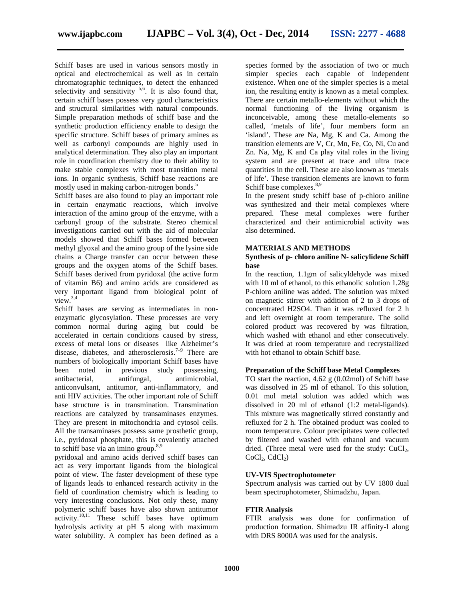Schiff bases are used in various sensors mostly in optical and electrochemical as well as in certain chromatographic techniques, to detect the enhanced selectivity and sensitivity  $5.6$ . It is also found that, certain schiff bases possess very good characteristics and structural similarities with natural compounds. Simple preparation methods of schiff base and the synthetic production efficiency enable to design the specific structure. Schiff bases of primary amines as well as carbonyl compounds are highly used in analytical determination. They also play an important role in coordination chemistry due to their ability to make stable complexes with most transition metal ions. In organic synthesis, Schiff base reactions are mostly used in making carbon-nitrogen bonds.<sup>5</sup>

Schiff bases are also found to play an important role in certain enzymatic reactions, which involve interaction of the amino group of the enzyme, with a carbonyl group of the substrate. Stereo chemical investigations carried out with the aid of molecular models showed that Schiff bases formed between methyl glyoxal and the amino group of the lysine side chains a Charge transfer can occur between these groups and the oxygen atoms of the Schiff bases. Schiff bases derived from pyridoxal (the active form of vitamin B6) and amino acids are considered as very important ligand from biological point of view. $3,4$ 

Schiff bases are serving as intermediates in non enzymatic glycosylation. These processes are very common normal during aging but could be accelerated in certain conditions caused by stress, excess of metal ions or diseases like Alzheimer's disease, diabetes, and atherosclerosis.<sup>7–9</sup> There are numbers of biologically important Schiff bases have been noted in previous study possessing, antibacterial, antifungal, antimicrobial, anticonvulsant, antitumor, anti-inflammatory, and anti HIV activities. The other important role of Schiff base structure is in transmination. Transmination reactions are catalyzed by transaminases enzymes. They are present in mitochondria and cytosol cells. All the transaminases possess same prosthetic group, i.e., pyridoxal phosphate, this is covalently attached to schiff base via an imino group. $8,9$ 

pyridoxal and amino acids derived schiff bases can act as very important ligands from the biological point of view. The faster development of these type of ligands leads to enhanced research activity in the field of coordination chemistry which is leading to very interesting conclusions. Not only these, many polymeric schiff bases have also shown antitumor  $\arcsin(10,11)$  These schiff bases have optimum hydrolysis activity at pH 5 along with maximum water solubility. A complex has been defined as a species formed by the association of two or much simpler species each capable of independent existence. When one of the simpler species is a metal ion, the resulting entity is known as a metal complex. There are certain metallo-elements without which the normal functioning of the living organism is inconceivable, among these metallo-elements so called, 'metals of life', four members form an 'island'. These are Na, Mg, K and Ca. Among the transition elements are V, Cr, Mn, Fe, Co, Ni, Cu and Zn. Na, Mg, K and Ca play vital roles in the living system and are present at trace and ultra trace quantities in the cell. These are also known as 'metals of life'. These transition elements are known to form Schiff base complexes.<sup>8,9</sup>

In the present study schiff base of p-chloro aniline was synthesized and their metal complexes where prepared. These metal complexes were further characterized and their antimicrobial activity was also determined.

### **MATERIALS AND METHODS**

## **Synthesis of p- chloro aniline N- salicylidene Schiff base**

In the reaction, 1.1gm of salicyldehyde was mixed with 10 ml of ethanol, to this ethanolic solution 1.28g P-chloro aniline was added. The solution was mixed on magnetic stirrer with addition of 2 to 3 drops of concentrated H2SO4. Than it was refluxed for 2 h and left overnight at room temperature. The solid colored product was recovered by was filtration, which washed with ethanol and ether consecutively. It was dried at room temperature and recrystallized with hot ethanol to obtain Schiff base.

## **Preparation of the Schiff base Metal Complexes**

TO start the reaction, 4.62 g (0.02mol) of Schiff base was dissolved in 25 ml of ethanol. To this solution, 0.01 mol metal solution was added which was dissolved in 20 ml of ethanol (1:2 metal-ligands). This mixture was magnetically stirred constantly and refluxed for 2 h. The obtained product was cooled to room temperature. Colour precipitates were collected by filtered and washed with ethanol and vacuum dried. (Three metal were used for the study:  $CuCl<sub>2</sub>$ ,  $CoCl<sub>2</sub>, CdCl<sub>2</sub>)$ 

## **UV-VIS Spectrophotometer**

Spectrum analysis was carried out by UV 1800 dual beam spectrophotometer, Shimadzhu, Japan.

# **FTIR Analysis**

FTIR analysis was done for confirmation of production formation. Shimadzu IR affinity-I along with DRS 8000A was used for the analysis.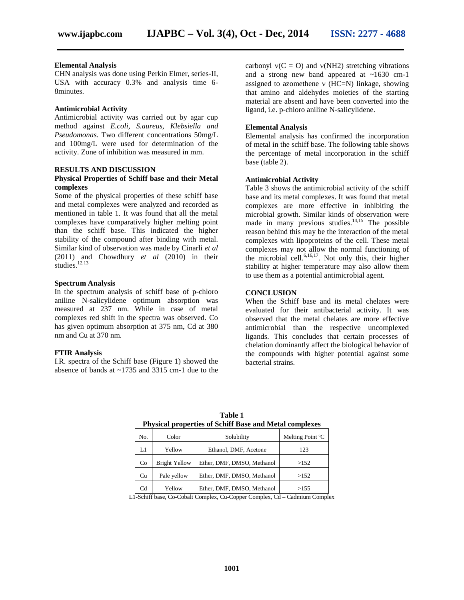#### **Elemental Analysis**

CHN analysis was done using Perkin Elmer, series-II, USA with accuracy 0.3% and analysis time 6- 8minutes.

## **Antimicrobial Activity**

Antimicrobial activity was carried out by agar cup method against *E.coli, S.aureus, Klebsiella and Pseudomonas*. Two different concentrations 50mg/L and 100mg/L were used for determination of the activity. Zone of inhibition was measured in mm.

#### **RESULTS AND DISCUSSION**

# **Physical Properties of Schiff base and their Metal complexes**

Some of the physical properties of these schiff base and metal complexes were analyzed and recorded as mentioned in table 1. It was found that all the metal complexes have comparatively higher melting point than the schiff base. This indicated the higher stability of the compound after binding with metal. Similar kind of observation was made by Cinarli *et al* (2011) and Chowdhury *et al* (2010) in their studies.<sup>12,13</sup>

#### **Spectrum Analysis**

In the spectrum analysis of schiff base of p-chloro aniline N-salicylidene optimum absorption was measured at 237 nm. While in case of metal complexes red shift in the spectra was observed. Co has given optimum absorption at 375 nm, Cd at 380 nm and Cu at 370 nm.

#### **FTIR Analysis**

I.R. spectra of the Schiff base (Figure 1) showed the absence of bands at ~1735 and 3315 cm-1 due to the carbonyl  $v(C = O)$  and  $v(NH2)$  stretching vibrations and a strong new band appeared at ~1630 cm-1 assigned to azomethene  $v$  (HC=N) linkage, showing that amino and aldehydes moieties of the starting material are absent and have been converted into the ligand, i.e. p-chloro aniline N-salicylidene.

#### **Elemental Analysis**

Elemental analysis has confirmed the incorporation of metal in the schiff base. The following table shows the percentage of metal incorporation in the schiff base (table 2).

## **Antimicrobial Activity**

Table 3 shows the antimicrobial activity of the schiff base and its metal complexes. It was found that metal complexes are more effective in inhibiting the microbial growth. Similar kinds of observation were made in many previous studies. $14,15$  The possible reason behind this may be the interaction of the metal complexes with lipoproteins of the cell. These metal complexes may not allow the normal functioning of the microbial cell.<sup>6,16,17</sup>. Not only this, their higher stability at higher temperature may also allow them to use them as a potential antimicrobial agent.

## **CONCLUSION**

When the Schiff base and its metal chelates were evaluated for their antibacterial activity. It was observed that the metal chelates are more effective antimicrobial than the respective uncomplexed ligands. This concludes that certain processes of chelation dominantly affect the biological behavior of the compounds with higher potential against some bacterial strains.

| No. | Color                | Solubility                 | Melting Point °C |  |
|-----|----------------------|----------------------------|------------------|--|
| LI  | Yellow               | Ethanol, DMF, Acetone      | 123              |  |
| Co  | <b>Bright Yellow</b> | Ether, DMF, DMSO, Methanol | >152             |  |
| Cu  | Pale yellow          | Ether, DMF, DMSO, Methanol | >152             |  |
| Cd  | Yellow               | Ether, DMF, DMSO, Methanol | >155             |  |

**Table 1 Physical properties of Schiff Base and Metal complexes**

L1-Schiff base, Co-Cobalt Complex, Cu-Copper Complex, Cd – Cadmium Complex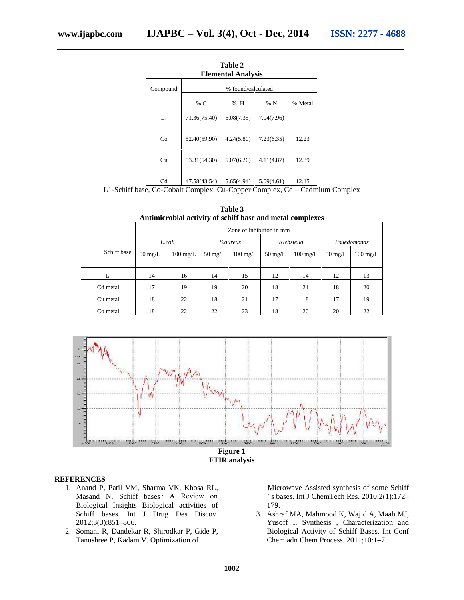|                |                    | <b>Elemental Analysis</b> |            |         |  |  |
|----------------|--------------------|---------------------------|------------|---------|--|--|
| Compound       | % found/calculated |                           |            |         |  |  |
|                | % C                | % H                       | %N         | % Metal |  |  |
| $L_1$          | 71.36(75.40)       | 6.08(7.35)                | 7.04(7.96) |         |  |  |
| Co             | 52.40(59.90)       | 4.24(5.80)                | 7.23(6.35) | 12.23   |  |  |
| Cu             | 53.31(54.30)       | 5.07(6.26)                | 4.11(4.87) | 12.39   |  |  |
| C <sub>d</sub> | 47.58(43.54)       | 5.65(4.94)                | 5.09(4.61) | 12.15   |  |  |

**Table 2**

L1-Schiff base, Co-Cobalt Complex, Cu-Copper Complex, Cd – Cadmium Complex

|             |                          | Antimicrobial activity of schiff base and metal complexes |                   |                    |                   |                    |                   |                    |  |
|-------------|--------------------------|-----------------------------------------------------------|-------------------|--------------------|-------------------|--------------------|-------------------|--------------------|--|
|             | Zone of Inhibition in mm |                                                           |                   |                    |                   |                    |                   |                    |  |
|             | E.coli                   |                                                           | <i>S.aureus</i>   |                    | Klebsiella        |                    | Psuedomonas       |                    |  |
| Schiff base | $50 \text{ mg/L}$        | $100 \text{ mg/L}$                                        | $50 \text{ mg/L}$ | $100 \text{ mg/L}$ | $50 \text{ mg/L}$ | $100 \text{ mg/L}$ | $50 \text{ mg/L}$ | $100 \text{ mg/L}$ |  |
| $L_1$       | 14                       | 16                                                        | 14                | 15                 | 12                | 14                 | 12                | 13                 |  |
| Cd metal    | 17                       | 19                                                        | 19                | 20                 | 18                | 21                 | 18                | 20                 |  |
| Cu metal    | 18                       | 22                                                        | 18                | 21                 | 17                | 18                 | 17                | 19                 |  |
| Co metal    | 18                       | 22                                                        | 22                | 23                 | 18                | 20                 | 20                | 22                 |  |

**Table 3**



**FTIR analysis**

# **REFERENCES**

- 1. Anand P, Patil VM, Sharma VK, Khosa RL, Masand N. Schiff bases : A Review on Biological Insights Biological activities of Schiff bases. Int J Drug Des Discov. 2012;3(3):851–866.
- 2. Somani R, Dandekar R, Shirodkar P, Gide P, Tanushree P, Kadam V. Optimization of

Microwave Assisted synthesis of some Schiff ' s bases. Int J ChemTech Res. 2010;2(1):172– 179.

3. Ashraf MA, Mahmood K, Wajid A, Maah MJ, Yusoff I. Synthesis , Characterization and Biological Activity of Schiff Bases. Int Conf Chem adn Chem Process. 2011;10:1–7.